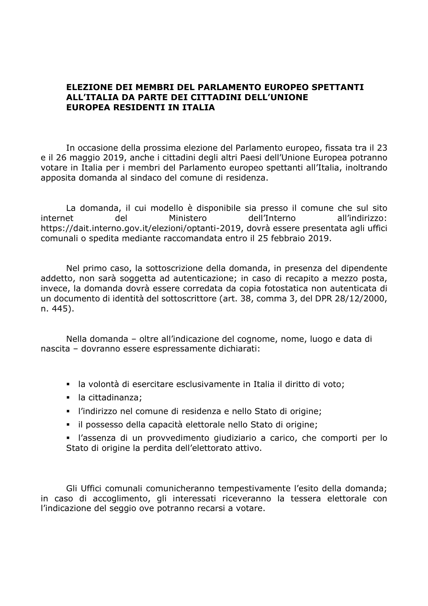## **ELEZIONE DEI MEMBRI DEL PARLAMENTO EUROPEO SPETTANTI ALL'ITALIA DA PARTE DEI CITTADINI DELL'UNIONE EUROPEA RESIDENTI IN ITALIA**

In occasione della prossima elezione del Parlamento europeo, fissata tra il 23 e il 26 maggio 2019, anche i cittadini degli altri Paesi dell'Unione Europea potranno votare in Italia per i membri del Parlamento europeo spettanti all'Italia, inoltrando apposita domanda al sindaco del comune di residenza.

La domanda, il cui modello è disponibile sia presso il comune che sul sito internet del Ministero dell'Interno all'indirizzo: https://dait.interno.gov.it/elezioni/optanti-2019, dovrà essere presentata agli uffici comunali o spedita mediante raccomandata entro il 25 febbraio 2019.

Nel primo caso, la sottoscrizione della domanda, in presenza del dipendente addetto, non sarà soggetta ad autenticazione; in caso di recapito a mezzo posta, invece, la domanda dovrà essere corredata da copia fotostatica non autenticata di un documento di identità del sottoscrittore (art. 38, comma 3, del DPR 28/12/2000, n. 445).

Nella domanda – oltre all'indicazione del cognome, nome, luogo e data di nascita – dovranno essere espressamente dichiarati:

- la volontà di esercitare esclusivamente in Italia il diritto di voto;
- la cittadinanza;
- l'indirizzo nel comune di residenza e nello Stato di origine;
- il possesso della capacità elettorale nello Stato di origine;
- l'assenza di un provvedimento giudiziario a carico, che comporti per lo Stato di origine la perdita dell'elettorato attivo.

Gli Uffici comunali comunicheranno tempestivamente l'esito della domanda; in caso di accoglimento, gli interessati riceveranno la tessera elettorale con l'indicazione del seggio ove potranno recarsi a votare.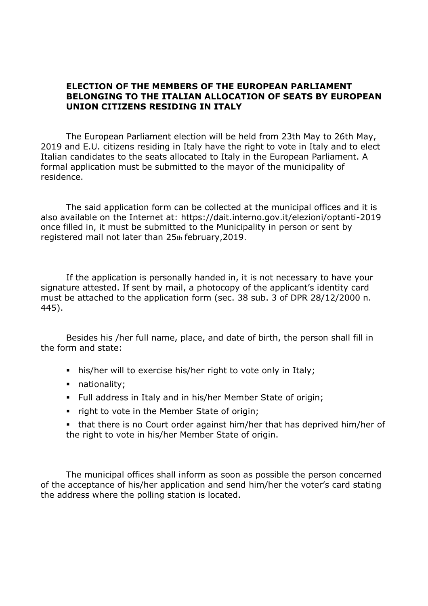## **ELECTION OF THE MEMBERS OF THE EUROPEAN PARLIAMENT BELONGING TO THE ITALIAN ALLOCATION OF SEATS BY EUROPEAN UNION CITIZENS RESIDING IN ITALY**

The European Parliament election will be held from 23th May to 26th May, 2019 and E.U. citizens residing in Italy have the right to vote in Italy and to elect Italian candidates to the seats allocated to Italy in the European Parliament. A formal application must be submitted to the mayor of the municipality of residence.

The said application form can be collected at the municipal offices and it is also available on the Internet at: https://dait.interno.gov.it/elezioni/optanti-2019 once filled in, it must be submitted to the Municipality in person or sent by registered mail not later than 25th february,2019.

If the application is personally handed in, it is not necessary to have your signature attested. If sent by mail, a photocopy of the applicant's identity card must be attached to the application form (sec. 38 sub. 3 of DPR 28/12/2000 n. 445).

Besides his /her full name, place, and date of birth, the person shall fill in the form and state:

- his/her will to exercise his/her right to vote only in Italy;
- nationality;
- Full address in Italy and in his/her Member State of origin;
- right to vote in the Member State of origin;
- that there is no Court order against him/her that has deprived him/her of the right to vote in his/her Member State of origin.

The municipal offices shall inform as soon as possible the person concerned of the acceptance of his/her application and send him/her the voter's card stating the address where the polling station is located.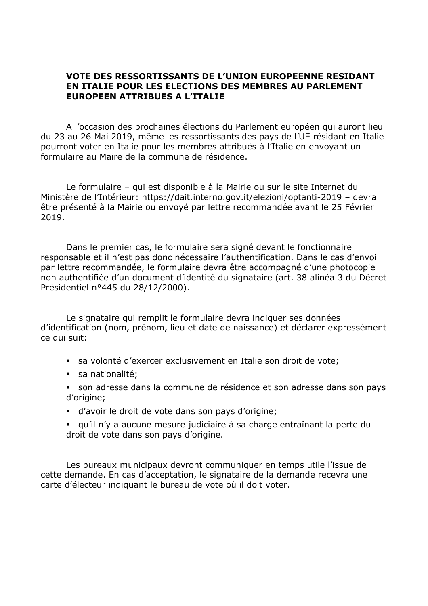## **VOTE DES RESSORTISSANTS DE L'UNION EUROPEENNE RESIDANT EN ITALIE POUR LES ELECTIONS DES MEMBRES AU PARLEMENT EUROPEEN ATTRIBUES A L'ITALIE**

A l'occasion des prochaines élections du Parlement européen qui auront lieu du 23 au 26 Mai 2019, même les ressortissants des pays de l'UE résidant en Italie pourront voter en Italie pour les membres attribués à l'Italie en envoyant un formulaire au Maire de la commune de résidence.

Le formulaire – qui est disponible à la Mairie ou sur le site Internet du Ministère de l'Intérieur: https://dait.interno.gov.it/elezioni/optanti-2019 – devra être présenté à la Mairie ou envoyé par lettre recommandée avant le 25 Février 2019.

Dans le premier cas, le formulaire sera signé devant le fonctionnaire responsable et il n'est pas donc nécessaire l'authentification. Dans le cas d'envoi par lettre recommandée, le formulaire devra être accompagné d'une photocopie non authentifiée d'un document d'identité du signataire (art. 38 alinéa 3 du Décret Présidentiel n°445 du 28/12/2000).

Le signataire qui remplit le formulaire devra indiquer ses données d'identification (nom, prénom, lieu et date de naissance) et déclarer expressément ce qui suit:

- sa volonté d'exercer exclusivement en Italie son droit de vote;
- sa nationalité;
- son adresse dans la commune de résidence et son adresse dans son pays d'origine;
- d'avoir le droit de vote dans son pays d'origine;
- qu'il n'y a aucune mesure judiciaire à sa charge entraînant la perte du droit de vote dans son pays d'origine.

Les bureaux municipaux devront communiquer en temps utile l'issue de cette demande. En cas d'acceptation, le signataire de la demande recevra une carte d'électeur indiquant le bureau de vote où il doit voter.